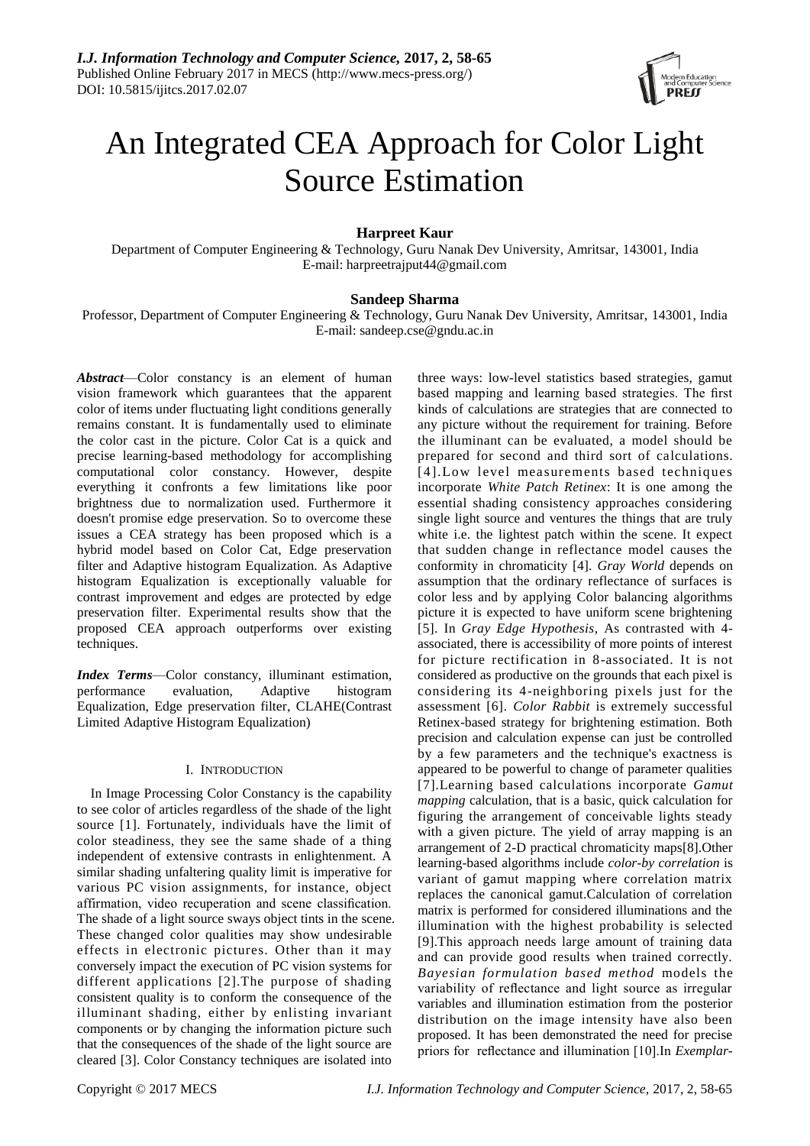

# An Integrated CEA Approach for Color Light Source Estimation

# **Harpreet Kaur**

Department of Computer Engineering & Technology, Guru Nanak Dev University, Amritsar, 143001, India E-mail: harpreetrajput44@gmail.com

# **Sandeep Sharma**

Professor, Department of Computer Engineering & Technology, Guru Nanak Dev University, Amritsar, 143001, India E-mail[: sandeep.cse@gndu.ac.in](mailto:sandeep.cse@gndu.ac.in)

*Abstract*—Color constancy is an element of human vision framework which guarantees that the apparent color of items under fluctuating light conditions generally remains constant. It is fundamentally used to eliminate the color cast in the picture. Color Cat is a quick and precise learning-based methodology for accomplishing computational color constancy. However, despite everything it confronts a few limitations like poor brightness due to normalization used. Furthermore it doesn't promise edge preservation. So to overcome these issues a CEA strategy has been proposed which is a hybrid model based on Color Cat, Edge preservation filter and Adaptive histogram Equalization. As Adaptive histogram Equalization is exceptionally valuable for contrast improvement and edges are protected by edge preservation filter. Experimental results show that the proposed CEA approach outperforms over existing techniques.

*Index Terms*—Color constancy, illuminant estimation, performance evaluation, Adaptive histogram Equalization, Edge preservation filter, CLAHE(Contrast Limited Adaptive Histogram Equalization)

## I.INTRODUCTION

In Image Processing Color Constancy is the capability to see color of articles regardless of the shade of the light source [1]. Fortunately, individuals have the limit of color steadiness, they see the same shade of a thing independent of extensive contrasts in enlightenment. A similar shading unfaltering quality limit is imperative for various PC vision assignments, for instance, object affirmation, video recuperation and scene classification. The shade of a light source sways object tints in the scene. These changed color qualities may show undesirable effects in electronic pictures. Other than it may conversely impact the execution of PC vision systems for different applications [2].The purpose of shading consistent quality is to conform the consequence of the illuminant shading, either by enlisting invariant components or by changing the information picture such that the consequences of the shade of the light source are cleared [3]. Color Constancy techniques are isolated into

three ways: low-level statistics based strategies, gamut based mapping and learning based strategies. The first kinds of calculations are strategies that are connected to any picture without the requirement for training. Before the illuminant can be evaluated, a model should be prepared for second and third sort of calculations. [4].Low level measurements based techniques incorporate *White Patch Retinex*: It is one among the essential shading consistency approaches considering single light source and ventures the things that are truly white i.e. the lightest patch within the scene. It expect that sudden change in reflectance model causes the conformity in chromaticity [4]. *Gray World* depends on assumption that the ordinary reflectance of surfaces is color less and by applying Color balancing algorithms picture it is expected to have uniform scene brightening [5]. In *Gray Edge Hypothesis*, As contrasted with 4 associated, there is accessibility of more points of interest for picture rectification in 8-associated. It is not considered as productive on the grounds that each pixel is considering its 4-neighboring pixels just for the assessment [6]. *Color Rabbit* is extremely successful Retinex-based strategy for brightening estimation. Both precision and calculation expense can just be controlled by a few parameters and the technique's exactness is appeared to be powerful to change of parameter qualities [7].Learning based calculations incorporate *Gamut mapping* calculation, that is a basic, quick calculation for figuring the arrangement of conceivable lights steady with a given picture. The yield of array mapping is an arrangement of 2-D practical chromaticity maps[8].Other learning-based algorithms include *color-by correlation* is variant of gamut mapping where correlation matrix replaces the canonical gamut.Calculation of correlation matrix is performed for considered illuminations and the illumination with the highest probability is selected [9].This approach needs large amount of training data and can provide good results when trained correctly. *Bayesian formulation based method* models the variability of reflectance and light source as irregular variables and illumination estimation from the posterior distribution on the image intensity have also been proposed. It has been demonstrated the need for precise priors for reflectance and illumination [10].In *Exemplar-*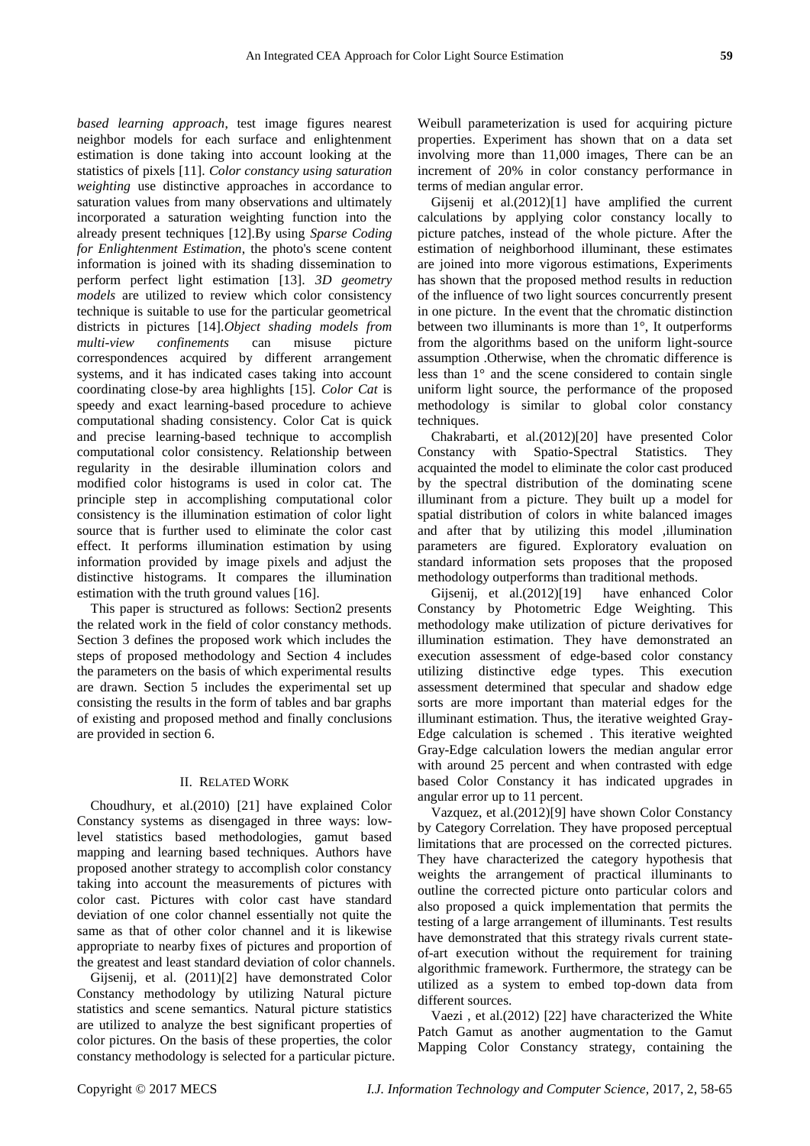*based learning approach*, test image figures nearest neighbor models for each surface and enlightenment estimation is done taking into account looking at the statistics of pixels [11]. *Color constancy using saturation weighting* use distinctive approaches in accordance to saturation values from many observations and ultimately incorporated a saturation weighting function into the already present techniques [12].By using *Sparse Coding for Enlightenment Estimation*, the photo's scene content information is joined with its shading dissemination to perform perfect light estimation [13]. *3D geometry models* are utilized to review which color consistency technique is suitable to use for the particular geometrical districts in pictures [14].*Object shading models from multi-view confinements* can misuse picture correspondences acquired by different arrangement systems, and it has indicated cases taking into account coordinating close-by area highlights [15]. *Color Cat* is speedy and exact learning-based procedure to achieve computational shading consistency. Color Cat is quick and precise learning-based technique to accomplish computational color consistency. Relationship between regularity in the desirable illumination colors and modified color histograms is used in color cat. The principle step in accomplishing computational color consistency is the illumination estimation of color light source that is further used to eliminate the color cast effect. It performs illumination estimation by using information provided by image pixels and adjust the distinctive histograms. It compares the illumination estimation with the truth ground values [16].

This paper is structured as follows: Section2 presents the related work in the field of color constancy methods. Section 3 defines the proposed work which includes the steps of proposed methodology and Section 4 includes the parameters on the basis of which experimental results are drawn. Section 5 includes the experimental set up consisting the results in the form of tables and bar graphs of existing and proposed method and finally conclusions are provided in section 6.

## II. RELATED WORK

Choudhury, et al.(2010) [21] have explained Color Constancy systems as disengaged in three ways: lowlevel statistics based methodologies, gamut based mapping and learning based techniques. Authors have proposed another strategy to accomplish color constancy taking into account the measurements of pictures with color cast. Pictures with color cast have standard deviation of one color channel essentially not quite the same as that of other color channel and it is likewise appropriate to nearby fixes of pictures and proportion of the greatest and least standard deviation of color channels.

Gijsenij, et al. (2011)[2] have demonstrated Color Constancy methodology by utilizing Natural picture statistics and scene semantics. Natural picture statistics are utilized to analyze the best significant properties of color pictures. On the basis of these properties, the color constancy methodology is selected for a particular picture. Weibull parameterization is used for acquiring picture properties. Experiment has shown that on a data set involving more than 11,000 images, There can be an increment of 20% in color constancy performance in terms of median angular error.

Gijsenij et al.(2012)[1] have amplified the current calculations by applying color constancy locally to picture patches, instead of the whole picture. After the estimation of neighborhood illuminant, these estimates are joined into more vigorous estimations, Experiments has shown that the proposed method results in reduction of the influence of two light sources concurrently present in one picture. In the event that the chromatic distinction between two illuminants is more than 1°, It outperforms from the algorithms based on the uniform light-source assumption .Otherwise, when the chromatic difference is less than 1° and the scene considered to contain single uniform light source, the performance of the proposed methodology is similar to global color constancy techniques.

Chakrabarti, et al.(2012)[20] have presented Color Constancy with Spatio-Spectral Statistics. They acquainted the model to eliminate the color cast produced by the spectral distribution of the dominating scene illuminant from a picture. They built up a model for spatial distribution of colors in white balanced images and after that by utilizing this model ,illumination parameters are figured. Exploratory evaluation on standard information sets proposes that the proposed methodology outperforms than traditional methods.

Gijsenij, et al.(2012)[19] have enhanced Color Constancy by Photometric Edge Weighting. This methodology make utilization of picture derivatives for illumination estimation. They have demonstrated an execution assessment of edge-based color constancy utilizing distinctive edge types. This execution assessment determined that specular and shadow edge sorts are more important than material edges for the illuminant estimation. Thus, the iterative weighted Gray-Edge calculation is schemed . This iterative weighted Gray-Edge calculation lowers the median angular error with around 25 percent and when contrasted with edge based Color Constancy it has indicated upgrades in angular error up to 11 percent.

Vazquez, et al.(2012)[9] have shown Color Constancy by Category Correlation. They have proposed perceptual limitations that are processed on the corrected pictures. They have characterized the category hypothesis that weights the arrangement of practical illuminants to outline the corrected picture onto particular colors and also proposed a quick implementation that permits the testing of a large arrangement of illuminants. Test results have demonstrated that this strategy rivals current stateof-art execution without the requirement for training algorithmic framework. Furthermore, the strategy can be utilized as a system to embed top-down data from different sources.

Vaezi , et al.(2012) [22] have characterized the White Patch Gamut as another augmentation to the Gamut Mapping Color Constancy strategy, containing the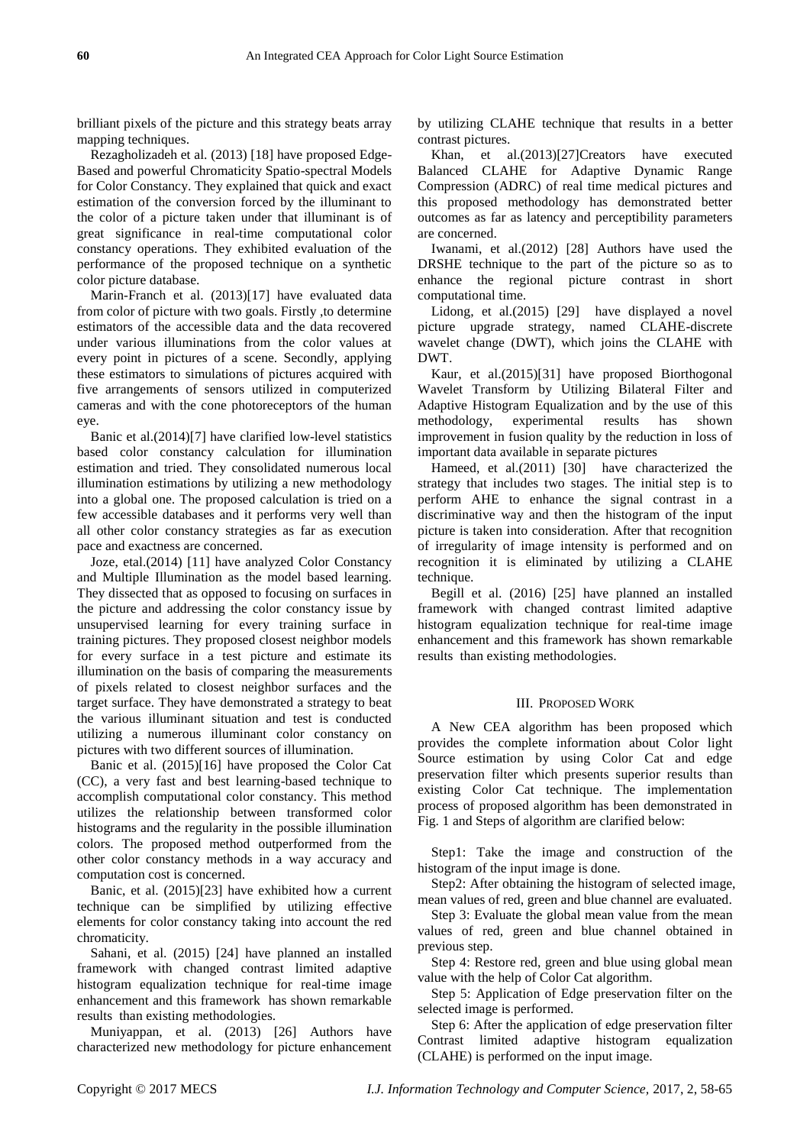brilliant pixels of the picture and this strategy beats array mapping techniques.

Rezagholizadeh et al. (2013) [18] have proposed Edge-Based and powerful Chromaticity Spatio-spectral Models for Color Constancy. They explained that quick and exact estimation of the conversion forced by the illuminant to the color of a picture taken under that illuminant is of great significance in real-time computational color constancy operations. They exhibited evaluation of the performance of the proposed technique on a synthetic color picture database.

Marin-Franch et al. (2013)[17] have evaluated data from color of picture with two goals. Firstly ,to determine estimators of the accessible data and the data recovered under various illuminations from the color values at every point in pictures of a scene. Secondly, applying these estimators to simulations of pictures acquired with five arrangements of sensors utilized in computerized cameras and with the cone photoreceptors of the human eye.

Banic et al.(2014)[7] have clarified low-level statistics based color constancy calculation for illumination estimation and tried. They consolidated numerous local illumination estimations by utilizing a new methodology into a global one. The proposed calculation is tried on a few accessible databases and it performs very well than all other color constancy strategies as far as execution pace and exactness are concerned.

Joze, etal.(2014) [11] have analyzed Color Constancy and Multiple Illumination as the model based learning. They dissected that as opposed to focusing on surfaces in the picture and addressing the color constancy issue by unsupervised learning for every training surface in training pictures. They proposed closest neighbor models for every surface in a test picture and estimate its illumination on the basis of comparing the measurements of pixels related to closest neighbor surfaces and the target surface. They have demonstrated a strategy to beat the various illuminant situation and test is conducted utilizing a numerous illuminant color constancy on pictures with two different sources of illumination.

Banic et al. (2015)[16] have proposed the Color Cat (CC), a very fast and best learning-based technique to accomplish computational color constancy. This method utilizes the relationship between transformed color histograms and the regularity in the possible illumination colors. The proposed method outperformed from the other color constancy methods in a way accuracy and computation cost is concerned.

Banic, et al. (2015)[23] have exhibited how a current technique can be simplified by utilizing effective elements for color constancy taking into account the red chromaticity.

Sahani, et al. (2015) [24] have planned an installed framework with changed contrast limited adaptive histogram equalization technique for real-time image enhancement and this framework has shown remarkable results than existing methodologies.

Muniyappan, et al. (2013) [26] Authors have characterized new methodology for picture enhancement by utilizing CLAHE technique that results in a better contrast pictures.

Khan, et al.(2013)[27]Creators have executed Balanced CLAHE for Adaptive Dynamic Range Compression (ADRC) of real time medical pictures and this proposed methodology has demonstrated better outcomes as far as latency and perceptibility parameters are concerned.

Iwanami, et al.(2012) [28] Authors have used the DRSHE technique to the part of the picture so as to enhance the regional picture contrast in short computational time.

Lidong, et al.(2015) [29] have displayed a novel picture upgrade strategy, named CLAHE-discrete wavelet change (DWT), which joins the CLAHE with DWT.

Kaur, et al.(2015)[31] have proposed Biorthogonal Wavelet Transform by Utilizing Bilateral Filter and Adaptive Histogram Equalization and by the use of this methodology, experimental results has shown improvement in fusion quality by the reduction in loss of important data available in separate pictures

Hameed, et al.(2011) [30] have characterized the strategy that includes two stages. The initial step is to perform AHE to enhance the signal contrast in a discriminative way and then the histogram of the input picture is taken into consideration. After that recognition of irregularity of image intensity is performed and on recognition it is eliminated by utilizing a CLAHE technique.

Begill et al. (2016) [25] have planned an installed framework with changed contrast limited adaptive histogram equalization technique for real-time image enhancement and this framework has shown remarkable results than existing methodologies.

## III. PROPOSED WORK

A New CEA algorithm has been proposed which provides the complete information about Color light Source estimation by using Color Cat and edge preservation filter which presents superior results than existing Color Cat technique. The implementation process of proposed algorithm has been demonstrated in Fig. 1 and Steps of algorithm are clarified below:

Step1: Take the image and construction of the histogram of the input image is done.

Step2: After obtaining the histogram of selected image, mean values of red, green and blue channel are evaluated.

Step 3: Evaluate the global mean value from the mean values of red, green and blue channel obtained in previous step.

Step 4: Restore red, green and blue using global mean value with the help of Color Cat algorithm.

Step 5: Application of Edge preservation filter on the selected image is performed.

Step 6: After the application of edge preservation filter Contrast limited adaptive histogram equalization (CLAHE) is performed on the input image.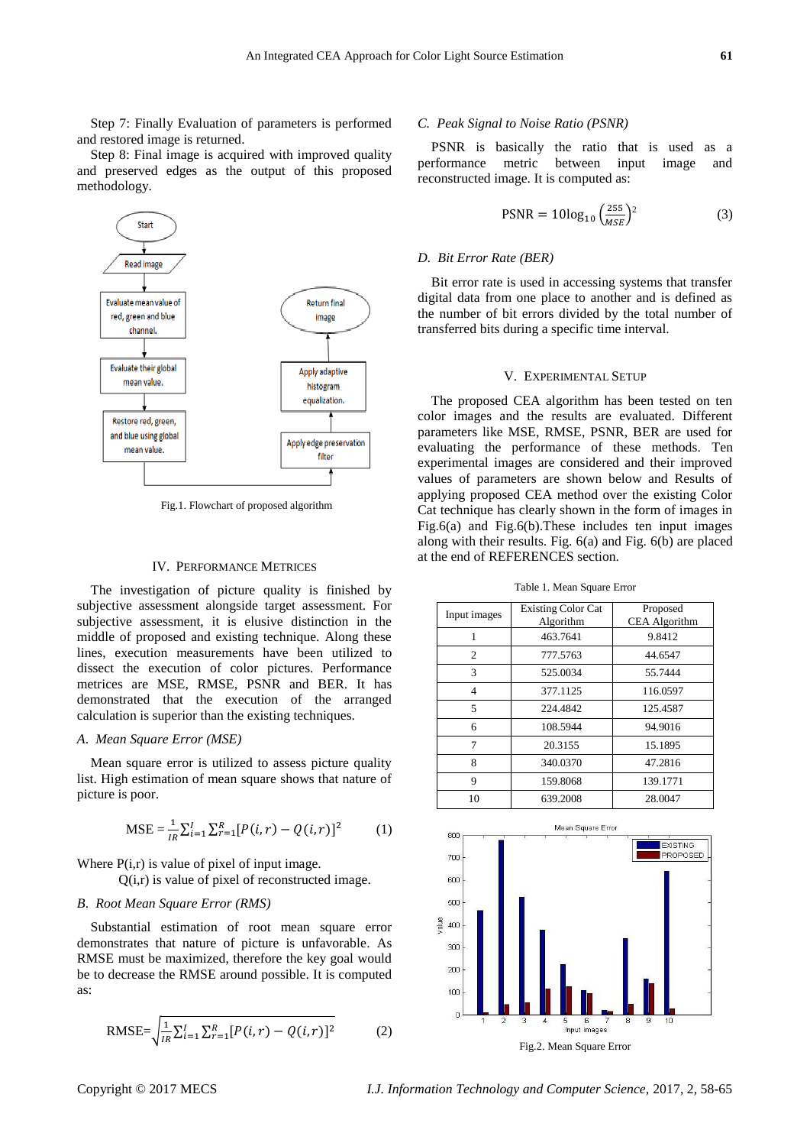Step 7: Finally Evaluation of parameters is performed and restored image is returned.

Step 8: Final image is acquired with improved quality and preserved edges as the output of this proposed methodology.



Fig.1. Flowchart of proposed algorithm

#### IV. PERFORMANCE METRICES

The investigation of picture quality is finished by subjective assessment alongside target assessment. For subjective assessment, it is elusive distinction in the middle of proposed and existing technique. Along these lines, execution measurements have been utilized to dissect the execution of color pictures. Performance metrices are MSE, RMSE, PSNR and BER. It has demonstrated that the execution of the arranged calculation is superior than the existing techniques.

#### *A*. *Mean Square Error (MSE)*

Mean square error is utilized to assess picture quality list. High estimation of mean square shows that nature of picture is poor.

$$
\text{MSE} = \frac{1}{iR} \sum_{i=1}^{I} \sum_{r=1}^{R} [P(i, r) - Q(i, r)]^2 \tag{1}
$$

Where  $P(i,r)$  is value of pixel of input image.

 $Q(i,r)$  is value of pixel of reconstructed image.

# *B*. *Root Mean Square Error (RMS)*

Substantial estimation of root mean square error demonstrates that nature of picture is unfavorable. As RMSE must be maximized, therefore the key goal would be to decrease the RMSE around possible. It is computed as:

RMSE=
$$
\sqrt{\frac{1}{iR}\sum_{i=1}^{I}\sum_{r=1}^{R}[P(i,r) - Q(i,r)]^2}
$$
 (2)

#### *C. Peak Signal to Noise Ratio (PSNR)*

PSNR is basically the ratio that is used as a performance metric between input image and reconstructed image. It is computed as:

$$
PSNR = 10\log_{10}\left(\frac{255}{MSE}\right)^2\tag{3}
$$

#### *D. Bit Error Rate (BER)*

Bit error rate is used in accessing systems that transfer digital data from one place to another and is defined as the number of bit errors divided by the total number of transferred bits during a specific time interval.

#### V. EXPERIMENTAL SETUP

The proposed CEA algorithm has been tested on ten color images and the results are evaluated. Different parameters like MSE, RMSE, PSNR, BER are used for evaluating the performance of these methods. Ten experimental images are considered and their improved values of parameters are shown below and Results of applying proposed CEA method over the existing Color Cat technique has clearly shown in the form of images in Fig.6(a) and Fig.6(b).These includes ten input images along with their results. Fig. 6(a) and Fig. 6(b) are placed at the end of REFERENCES section.

Table 1. Mean Square Error

| Input images   | <b>Existing Color Cat</b> | Proposed             |
|----------------|---------------------------|----------------------|
|                | Algorithm                 | <b>CEA</b> Algorithm |
| 1              | 463.7641                  | 9.8412               |
| 2              | 777.5763                  | 44.6547              |
| 3              | 525.0034                  | 55.7444              |
| $\overline{4}$ | 377.1125                  | 116.0597             |
| 5              | 224.4842                  | 125.4587             |
| 6              | 108.5944                  | 94.9016              |
| 7              | 20.3155                   | 15.1895              |
| 8              | 340.0370                  | 47.2816              |
| 9              | 159.8068                  | 139.1771             |
| 10             | 639.2008                  | 28.0047              |

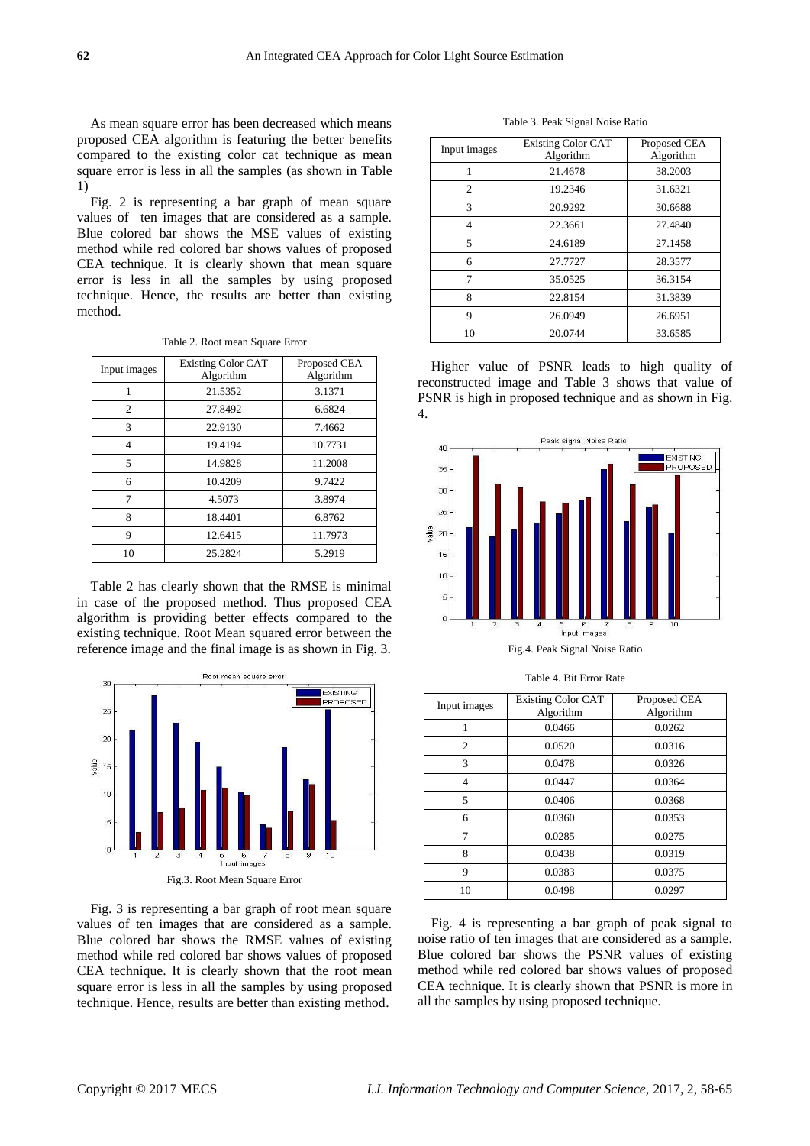As mean square error has been decreased which means proposed CEA algorithm is featuring the better benefits compared to the existing color cat technique as mean square error is less in all the samples (as shown in Table 1)

Fig. 2 is representing a bar graph of mean square values of ten images that are considered as a sample. Blue colored bar shows the MSE values of existing method while red colored bar shows values of proposed CEA technique. It is clearly shown that mean square error is less in all the samples by using proposed technique. Hence, the results are better than existing method.

| Table 2. Root mean Square Error |  |
|---------------------------------|--|
|---------------------------------|--|

| Input images | <b>Existing Color CAT</b><br>Algorithm | Proposed CEA<br>Algorithm |
|--------------|----------------------------------------|---------------------------|
|              | 21.5352                                | 3.1371                    |
| 2            | 27.8492                                | 6.6824                    |
| 3            | 22.9130                                | 7.4662                    |
| 4            | 19.4194                                | 10.7731                   |
| 5            | 14.9828                                | 11.2008                   |
| 6            | 10.4209                                | 9.7422                    |
| 7            | 4.5073                                 | 3.8974                    |
| 8            | 18.4401                                | 6.8762                    |
| 9            | 12.6415                                | 11.7973                   |
| 10           | 25.2824                                | 5.2919                    |

Table 2 has clearly shown that the RMSE is minimal in case of the proposed method. Thus proposed CEA algorithm is providing better effects compared to the existing technique. Root Mean squared error between the reference image and the final image is as shown in Fig. 3.



Fig. 3 is representing a bar graph of root mean square values of ten images that are considered as a sample. Blue colored bar shows the RMSE values of existing method while red colored bar shows values of proposed CEA technique. It is clearly shown that the root mean square error is less in all the samples by using proposed technique. Hence, results are better than existing method.

Table 3. Peak Signal Noise Ratio

| Input images   | <b>Existing Color CAT</b><br>Algorithm | Proposed CEA<br>Algorithm |
|----------------|----------------------------------------|---------------------------|
|                | 21.4678                                | 38.2003                   |
| 2              | 19.2346                                | 31.6321                   |
| 3              | 20.9292                                | 30.6688                   |
| $\overline{4}$ | 22.3661                                | 27.4840                   |
| 5              | 24.6189                                | 27.1458                   |
| 6              | 27.7727                                | 28.3577                   |
| 7              | 35.0525                                | 36.3154                   |
| 8              | 22.8154                                | 31.3839                   |
| 9              | 26.0949                                | 26.6951                   |
| 10             | 20.0744                                | 33.6585                   |

Higher value of PSNR leads to high quality of reconstructed image and Table 3 shows that value of PSNR is high in proposed technique and as shown in Fig. 4.



Fig.4. Peak Signal Noise Ratio

| Input images   | <b>Existing Color CAT</b><br>Algorithm | Proposed CEA<br>Algorithm |
|----------------|----------------------------------------|---------------------------|
|                | 0.0466                                 | 0.0262                    |
| $\overline{c}$ | 0.0520                                 | 0.0316                    |
| 3              | 0.0478                                 | 0.0326                    |
| 4              | 0.0447                                 | 0.0364                    |
| 5              | 0.0406                                 | 0.0368                    |
| 6              | 0.0360                                 | 0.0353                    |
| 7              | 0.0285                                 | 0.0275                    |
| 8              | 0.0438                                 | 0.0319                    |
| 9              | 0.0383                                 | 0.0375                    |
| 10             | 0.0498                                 | 0.0297                    |

Table 4. Bit Error Rate

Fig. 4 is representing a bar graph of peak signal to noise ratio of ten images that are considered as a sample. Blue colored bar shows the PSNR values of existing method while red colored bar shows values of proposed CEA technique. It is clearly shown that PSNR is more in all the samples by using proposed technique.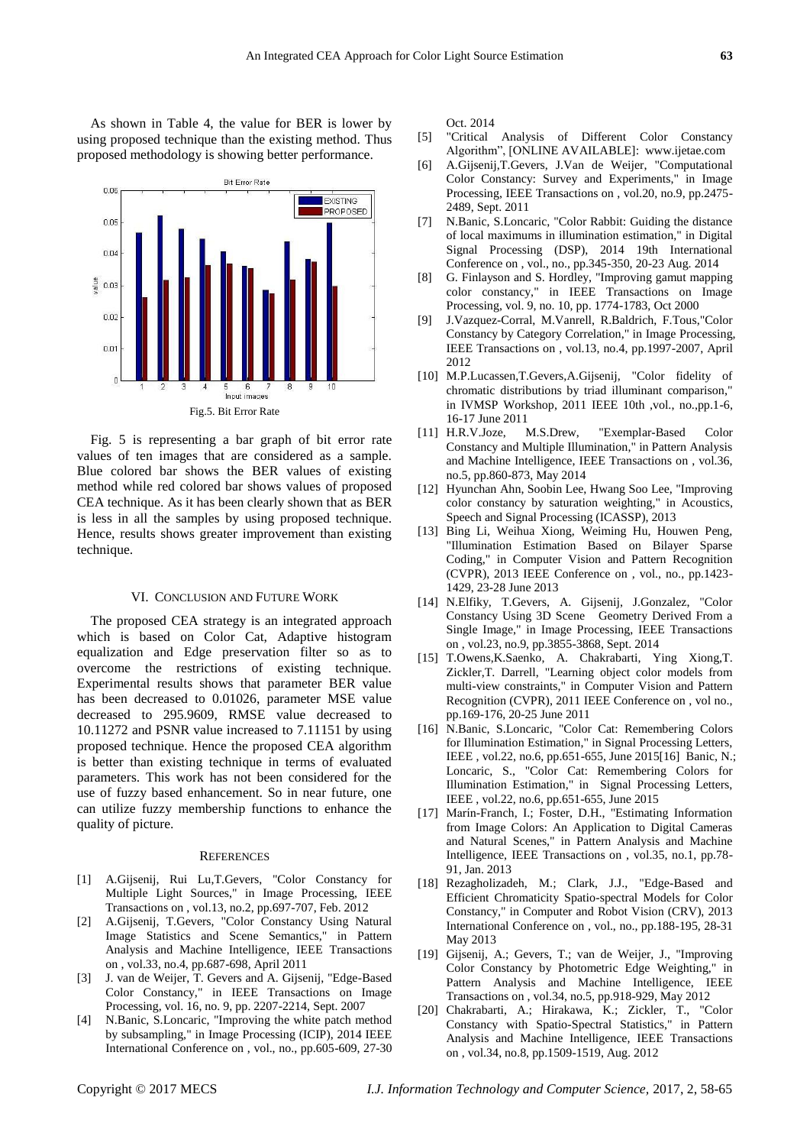As shown in Table 4, the value for BER is lower by using proposed technique than the existing method. Thus proposed methodology is showing better performance.



Fig. 5 is representing a bar graph of bit error rate values of ten images that are considered as a sample. Blue colored bar shows the BER values of existing method while red colored bar shows values of proposed CEA technique. As it has been clearly shown that as BER is less in all the samples by using proposed technique. Hence, results shows greater improvement than existing technique.

#### VI. CONCLUSION AND FUTURE WORK

The proposed CEA strategy is an integrated approach which is based on Color Cat, Adaptive histogram equalization and Edge preservation filter so as to overcome the restrictions of existing technique. Experimental results shows that parameter BER value has been decreased to 0.01026, parameter MSE value decreased to 295.9609, RMSE value decreased to 10.11272 and PSNR value increased to 7.11151 by using proposed technique. Hence the proposed CEA algorithm is better than existing technique in terms of evaluated parameters. This work has not been considered for the use of fuzzy based enhancement. So in near future, one can utilize fuzzy membership functions to enhance the quality of picture.

#### **REFERENCES**

- [1] A.Gijsenij, Rui Lu,T.Gevers, "Color Constancy for Multiple Light Sources," in Image Processing, IEEE Transactions on , vol.13, no.2, pp.697-707, Feb. 2012
- [2] A.Gijsenij, T.Gevers, "Color Constancy Using Natural Image Statistics and Scene Semantics," in Pattern Analysis and Machine Intelligence, IEEE Transactions on , vol.33, no.4, pp.687-698, April 2011
- [3] J. van de Weijer, T. Gevers and A. Gijsenij, "Edge-Based Color Constancy," in IEEE Transactions on Image Processing, vol. 16, no. 9, pp. 2207-2214, Sept. 2007
- [4] N.Banic, S.Loncaric, "Improving the white patch method by subsampling," in Image Processing (ICIP), 2014 IEEE International Conference on , vol., no., pp.605-609, 27-30

Oct. 2014

- [5] "Critical Analysis of Different Color Constancy Algorithm", [ONLINE AVAILABLE]: www.ijetae.com
- [6] A.Gijsenij,T.Gevers, J.Van de Weijer, "Computational Color Constancy: Survey and Experiments," in Image Processing, IEEE Transactions on , vol.20, no.9, pp.2475- 2489, Sept. 2011
- [7] N.Banic, S.Loncaric, "Color Rabbit: Guiding the distance of local maximums in illumination estimation," in Digital Signal Processing (DSP), 2014 19th International Conference on , vol., no., pp.345-350, 20-23 Aug. 2014
- [8] G. Finlayson and S. Hordley, "Improving gamut mapping color constancy," in IEEE Transactions on Image Processing, vol. 9, no. 10, pp. 1774-1783, Oct 2000
- [9] J.Vazquez-Corral, M.Vanrell, R.Baldrich, F.Tous,"Color Constancy by Category Correlation," in Image Processing, IEEE Transactions on , vol.13, no.4, pp.1997-2007, April 2012
- [10] M.P.Lucassen,T.Gevers,A.Gijsenij, "Color fidelity of chromatic distributions by triad illuminant comparison," in IVMSP Workshop, 2011 IEEE 10th ,vol., no.,pp.1-6, 16-17 June 2011
- [11] H.R.V.Joze, M.S.Drew, "Exemplar-Based Color Constancy and Multiple Illumination," in Pattern Analysis and Machine Intelligence, IEEE Transactions on , vol.36, no.5, pp.860-873, May 2014
- [12] Hyunchan Ahn, Soobin Lee, Hwang Soo Lee, "Improving color constancy by saturation weighting," in Acoustics, Speech and Signal Processing (ICASSP), 2013
- [13] Bing Li, Weihua Xiong, Weiming Hu, Houwen Peng, "Illumination Estimation Based on Bilayer Sparse Coding," in Computer Vision and Pattern Recognition (CVPR), 2013 IEEE Conference on , vol., no., pp.1423- 1429, 23-28 June 2013
- [14] N.Elfiky, T.Gevers, A. Gijsenij, J.Gonzalez, "Color Constancy Using 3D Scene Geometry Derived From a Single Image," in Image Processing, IEEE Transactions on , vol.23, no.9, pp.3855-3868, Sept. 2014
- [15] T.Owens,K.Saenko, A. Chakrabarti, Ying Xiong,T. Zickler,T. Darrell, "Learning object color models from multi-view constraints," in Computer Vision and Pattern Recognition (CVPR), 2011 IEEE Conference on , vol no., pp.169-176, 20-25 June 2011
- [16] N.Banic, S.Loncaric, "Color Cat: Remembering Colors for Illumination Estimation," in Signal Processing Letters, IEEE , vol.22, no.6, pp.651-655, June 2015[16] Banic, N.; Loncaric, S., "Color Cat: Remembering Colors for Illumination Estimation," in Signal Processing Letters, IEEE , vol.22, no.6, pp.651-655, June 2015
- [17] Marín-Franch, I.; Foster, D.H., "Estimating Information from Image Colors: An Application to Digital Cameras and Natural Scenes," in Pattern Analysis and Machine Intelligence, IEEE Transactions on , vol.35, no.1, pp.78- 91, Jan. 2013
- [18] Rezagholizadeh, M.; Clark, J.J., "Edge-Based and Efficient Chromaticity Spatio-spectral Models for Color Constancy," in Computer and Robot Vision (CRV), 2013 International Conference on , vol., no., pp.188-195, 28-31 May 2013
- [19] Gijsenij, A.; Gevers, T.; van de Weijer, J., "Improving Color Constancy by Photometric Edge Weighting," in Pattern Analysis and Machine Intelligence, IEEE Transactions on , vol.34, no.5, pp.918-929, May 2012
- [20] Chakrabarti, A.; Hirakawa, K.; Zickler, T., "Color Constancy with Spatio-Spectral Statistics," in Pattern Analysis and Machine Intelligence, IEEE Transactions on , vol.34, no.8, pp.1509-1519, Aug. 2012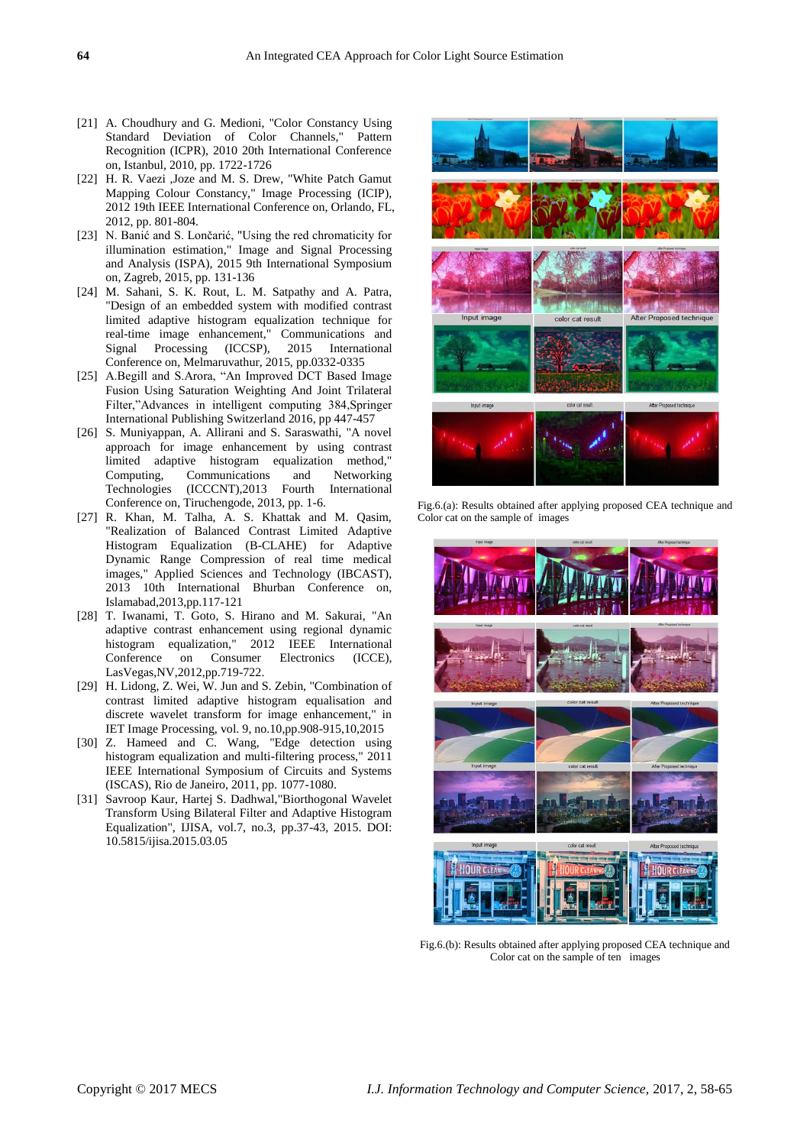- [21] A. Choudhury and G. Medioni, "Color Constancy Using Standard Deviation of Color Channels," Pattern Recognition (ICPR), 2010 20th International Conference on, Istanbul, 2010, pp. 1722-1726
- [22] H. R. Vaezi ,Joze and M. S. Drew, "White Patch Gamut Mapping Colour Constancy," Image Processing (ICIP), 2012 19th IEEE International Conference on, Orlando, FL, 2012, pp. 801-804.
- [23] N. Banić and S. Lončarić, "Using the red chromaticity for illumination estimation," Image and Signal Processing and Analysis (ISPA), 2015 9th International Symposium on, Zagreb, 2015, pp. 131-136
- [24] M. Sahani, S. K. Rout, L. M. Satpathy and A. Patra, "Design of an embedded system with modified contrast limited adaptive histogram equalization technique for real-time image enhancement," Communications and Signal Processing (ICCSP), 2015 International Conference on, Melmaruvathur, 2015, pp.0332-0335
- [25] A.Begill and S.Arora, "An Improved DCT Based Image Fusion Using Saturation Weighting And Joint Trilateral Filter,"Advances in intelligent computing 384,Springer International Publishing Switzerland 2016, pp 447-457
- [26] S. Muniyappan, A. Allirani and S. Saraswathi, "A novel approach for image enhancement by using contrast limited adaptive histogram equalization method," Computing, Communications and Networking Technologies (ICCCNT),2013 Fourth International Conference on, Tiruchengode, 2013, pp. 1-6.
- [27] R. Khan, M. Talha, A. S. Khattak and M. Qasim, "Realization of Balanced Contrast Limited Adaptive Histogram Equalization (B-CLAHE) for Adaptive Dynamic Range Compression of real time medical images," Applied Sciences and Technology (IBCAST), 2013 10th International Bhurban Conference on, Islamabad,2013,pp.117-121
- [28] T. Iwanami, T. Goto, S. Hirano and M. Sakurai, "An adaptive contrast enhancement using regional dynamic histogram equalization," 2012 IEEE International Conference on Consumer Electronics (ICCE), LasVegas,NV,2012,pp.719-722.
- [29] H. Lidong, Z. Wei, W. Jun and S. Zebin, "Combination of contrast limited adaptive histogram equalisation and discrete wavelet transform for image enhancement," in IET Image Processing, vol. 9, no.10,pp.908-915,10,2015
- [30] Z. Hameed and C. Wang, "Edge detection using histogram equalization and multi-filtering process," 2011 IEEE International Symposium of Circuits and Systems (ISCAS), Rio de Janeiro, 2011, pp. 1077-1080.
- [31] Savroop Kaur, Hartej S. Dadhwal,"Biorthogonal Wavelet Transform Using Bilateral Filter and Adaptive Histogram Equalization", IJISA, vol.7, no.3, pp.37-43, 2015. DOI: 10.5815/ijisa.2015.03.05



Fig.6.(a): Results obtained after applying proposed CEA technique and Color cat on the sample of images



Fig.6.(b): Results obtained after applying proposed CEA technique and Color cat on the sample of ten images